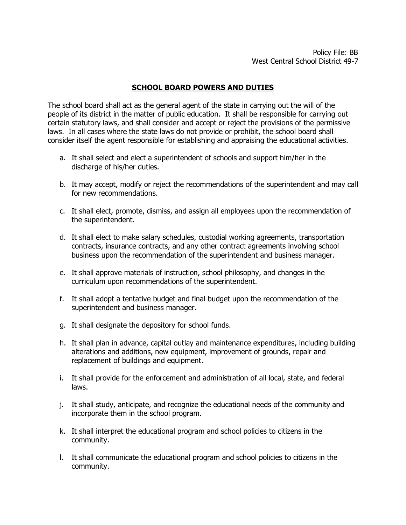# **SCHOOL BOARD POWERS AND DUTIES**

The school board shall act as the general agent of the state in carrying out the will of the people of its district in the matter of public education. It shall be responsible for carrying out certain statutory laws, and shall consider and accept or reject the provisions of the permissive laws. In all cases where the state laws do not provide or prohibit, the school board shall consider itself the agent responsible for establishing and appraising the educational activities.

- a. It shall select and elect a superintendent of schools and support him/her in the discharge of his/her duties.
- b. It may accept, modify or reject the recommendations of the superintendent and may call for new recommendations.
- c. It shall elect, promote, dismiss, and assign all employees upon the recommendation of the superintendent.
- d. It shall elect to make salary schedules, custodial working agreements, transportation contracts, insurance contracts, and any other contract agreements involving school business upon the recommendation of the superintendent and business manager.
- e. It shall approve materials of instruction, school philosophy, and changes in the curriculum upon recommendations of the superintendent.
- f. It shall adopt a tentative budget and final budget upon the recommendation of the superintendent and business manager.
- g. It shall designate the depository for school funds.
- h. It shall plan in advance, capital outlay and maintenance expenditures, including building alterations and additions, new equipment, improvement of grounds, repair and replacement of buildings and equipment.
- i. It shall provide for the enforcement and administration of all local, state, and federal laws.
- j. It shall study, anticipate, and recognize the educational needs of the community and incorporate them in the school program.
- k. It shall interpret the educational program and school policies to citizens in the community.
- l. It shall communicate the educational program and school policies to citizens in the community.